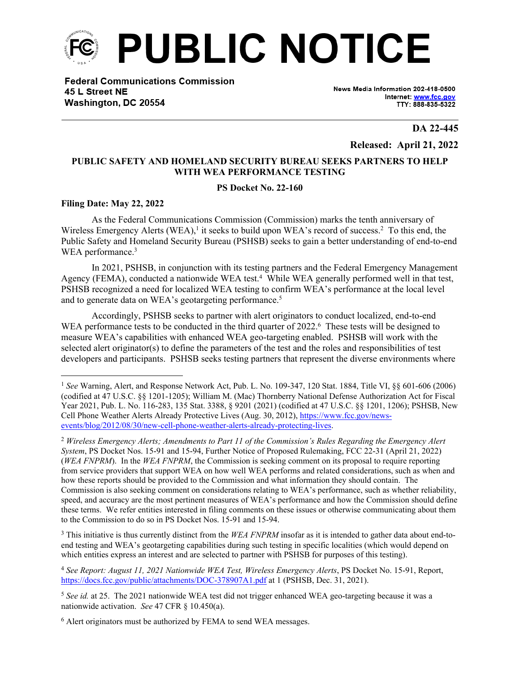

**Federal Communications Commission** 45 L Street NE Washington, DC 20554

News Media Information 202-418-0500 Internet: www.fcc.gov TTY: 888-835-5322

**DA 22-445**

**Released: April 21, 2022**

## **PUBLIC SAFETY AND HOMELAND SECURITY BUREAU SEEKS PARTNERS TO HELP WITH WEA PERFORMANCE TESTING**

## **PS Docket No. 22-160**

## **Filing Date: May 22, 2022**

As the Federal Communications Commission (Commission) marks the tenth anniversary of Wireless Emergency Alerts (WEA),<sup>1</sup> it seeks to build upon WEA's record of success.<sup>2</sup> To this end, the Public Safety and Homeland Security Bureau (PSHSB) seeks to gain a better understanding of end-to-end WEA performance.<sup>3</sup>

In 2021, PSHSB, in conjunction with its testing partners and the Federal Emergency Management Agency (FEMA), conducted a nationwide WEA test.<sup>4</sup> While WEA generally performed well in that test, PSHSB recognized a need for localized WEA testing to confirm WEA's performance at the local level and to generate data on WEA's geotargeting performance.<sup>5</sup>

Accordingly, PSHSB seeks to partner with alert originators to conduct localized, end-to-end WEA performance tests to be conducted in the third quarter of 2022.<sup>6</sup> These tests will be designed to measure WEA's capabilities with enhanced WEA geo-targeting enabled. PSHSB will work with the selected alert originator(s) to define the parameters of the test and the roles and responsibilities of test developers and participants. PSHSB seeks testing partners that represent the diverse environments where

<sup>3</sup> This initiative is thus currently distinct from the WEA FNPRM insofar as it is intended to gather data about end-toend testing and WEA's geotargeting capabilities during such testing in specific localities (which would depend on which entities express an interest and are selected to partner with PSHSB for purposes of this testing).

<sup>4</sup> *See Report: August 11, 2021 Nationwide WEA Test, Wireless Emergency Alerts*, PS Docket No. 15-91, Report, <https://docs.fcc.gov/public/attachments/DOC-378907A1.pdf>at 1 (PSHSB, Dec. 31, 2021).

<sup>1</sup> *See* Warning, Alert, and Response Network Act, Pub. L. No. 109-347, 120 Stat. 1884, Title VI, §§ 601-606 (2006) (codified at 47 U.S.C. §§ 1201-1205); William M. (Mac) Thornberry National Defense Authorization Act for Fiscal Year 2021, Pub. L. No. 116-283, 135 Stat. 3388, § 9201 (2021) (codified at 47 U.S.C. §§ 1201, 1206); PSHSB, New Cell Phone Weather Alerts Already Protective Lives (Aug. 30, 2012), [https://www.fcc.gov/news](https://www.fcc.gov/news-events/blog/2012/08/30/new-cell-phone-weather-alerts-already-protecting-lives)[events/blog/2012/08/30/new-cell-phone-weather-alerts-already-protecting-lives](https://www.fcc.gov/news-events/blog/2012/08/30/new-cell-phone-weather-alerts-already-protecting-lives).

<sup>2</sup> *Wireless Emergency Alerts; Amendments to Part 11 of the Commission's Rules Regarding the Emergency Alert System*, PS Docket Nos. 15-91 and 15-94, Further Notice of Proposed Rulemaking, FCC 22-31 (April 21, 2022) (*WEA FNPRM*). In the *WEA FNPRM*, the Commission is seeking comment on its proposal to require reporting from service providers that support WEA on how well WEA performs and related considerations, such as when and how these reports should be provided to the Commission and what information they should contain. The Commission is also seeking comment on considerations relating to WEA's performance, such as whether reliability, speed, and accuracy are the most pertinent measures of WEA's performance and how the Commission should define these terms. We refer entities interested in filing comments on these issues or otherwise communicating about them to the Commission to do so in PS Docket Nos. 15-91 and 15-94.

<sup>&</sup>lt;sup>5</sup> See id. at 25. The 2021 nationwide WEA test did not trigger enhanced WEA geo-targeting because it was a nationwide activation. *See* 47 CFR § 10.450(a).

<sup>&</sup>lt;sup>6</sup> Alert originators must be authorized by FEMA to send WEA messages.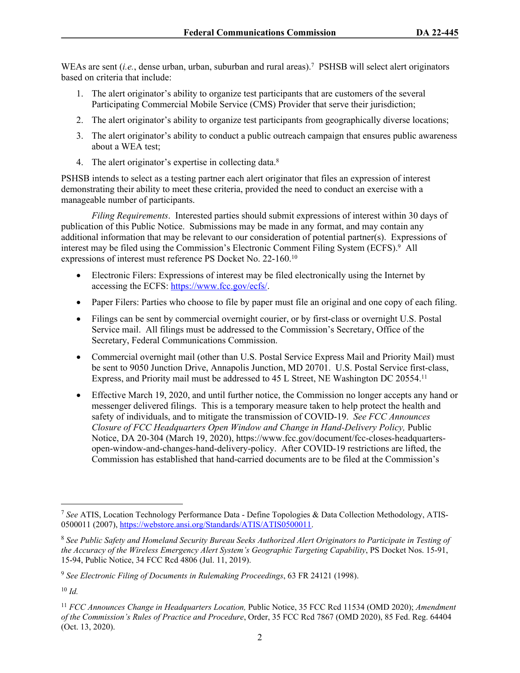WEAs are sent (*i.e.*, dense urban, urban, suburban and rural areas).<sup>7</sup> PSHSB will select alert originators based on criteria that include:

- 1. The alert originator's ability to organize test participants that are customers of the several Participating Commercial Mobile Service (CMS) Provider that serve their jurisdiction;
- 2. The alert originator's ability to organize test participants from geographically diverse locations;
- 3. The alert originator's ability to conduct a public outreach campaign that ensures public awareness about a WEA test;
- 4. The alert originator's expertise in collecting data.<sup>8</sup>

PSHSB intends to select as a testing partner each alert originator that files an expression of interest demonstrating their ability to meet these criteria, provided the need to conduct an exercise with a manageable number of participants.

*Filing Requirements*. Interested parties should submit expressions of interest within 30 days of publication of this Public Notice. Submissions may be made in any format, and may contain any additional information that may be relevant to our consideration of potential partner(s). Expressions of interest may be filed using the Commission's Electronic Comment Filing System (ECFS).<sup>9</sup> All expressions of interest must reference PS Docket No. 22-160.<sup>10</sup>

- Electronic Filers: Expressions of interest may be filed electronically using the Internet by accessing the ECFS: [https://www.fcc.gov/ecfs/.](https://www.fcc.gov/ecfs/)
- Paper Filers: Parties who choose to file by paper must file an original and one copy of each filing.
- Filings can be sent by commercial overnight courier, or by first-class or overnight U.S. Postal Service mail. All filings must be addressed to the Commission's Secretary, Office of the Secretary, Federal Communications Commission.
- Commercial overnight mail (other than U.S. Postal Service Express Mail and Priority Mail) must be sent to 9050 Junction Drive, Annapolis Junction, MD 20701. U.S. Postal Service first-class, Express, and Priority mail must be addressed to 45 L Street, NE Washington DC 20554.<sup>11</sup>
- Effective March 19, 2020, and until further notice, the Commission no longer accepts any hand or messenger delivered filings. This is a temporary measure taken to help protect the health and safety of individuals, and to mitigate the transmission of COVID-19. *See FCC Announces Closure of FCC Headquarters Open Window and Change in Hand-Delivery Policy,* Public Notice, DA 20-304 (March 19, 2020), https://www.fcc.gov/document/fcc-closes-headquartersopen-window-and-changes-hand-delivery-policy. After COVID-19 restrictions are lifted, the Commission has established that hand-carried documents are to be filed at the Commission's

<sup>7</sup> *See* ATIS, Location Technology Performance Data - Define Topologies & Data Collection Methodology, ATIS-0500011 (2007), [https://webstore.ansi.org/Standards/ATIS/ATIS0500011.](https://webstore.ansi.org/Standards/ATIS/ATIS0500011)

<sup>8</sup> *See Public Safety and Homeland Security Bureau Seeks Authorized Alert Originators to Participate in Testing of the Accuracy of the Wireless Emergency Alert System's Geographic Targeting Capability*, PS Docket Nos. 15-91, 15-94, Public Notice, 34 FCC Rcd 4806 (Jul. 11, 2019).

<sup>9</sup>  *See Electronic Filing of Documents in Rulemaking Proceedings*, 63 FR 24121 (1998).

<sup>10</sup> *Id.*

<sup>11</sup> *FCC Announces Change in Headquarters Location,* Public Notice, 35 FCC Rcd 11534 (OMD 2020); *Amendment of the Commission's Rules of Practice and Procedure*, Order, 35 FCC Rcd 7867 (OMD 2020), 85 Fed. Reg. 64404 (Oct. 13, 2020).